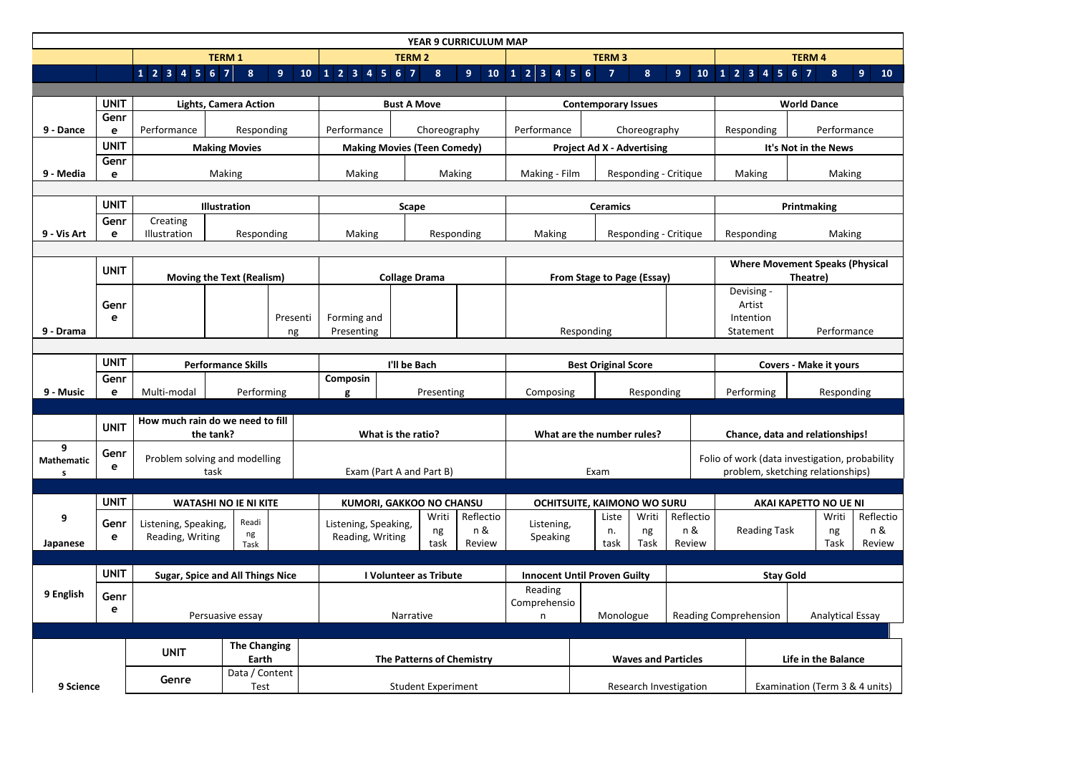|                        | <b>YEAR 9 CURRICULUM MAP</b>                |                                         |                                 |                      |                           |                                    |                                   |                                     |                            |                              |                                   |                                                |                                        |  |                |                                |
|------------------------|---------------------------------------------|-----------------------------------------|---------------------------------|----------------------|---------------------------|------------------------------------|-----------------------------------|-------------------------------------|----------------------------|------------------------------|-----------------------------------|------------------------------------------------|----------------------------------------|--|----------------|--------------------------------|
|                        |                                             | <b>TERM 1</b>                           |                                 |                      | <b>TERM 2</b>             |                                    |                                   | <b>TERM 3</b>                       |                            |                              |                                   |                                                | <b>TERM4</b>                           |  |                |                                |
|                        |                                             | $1$ 2 3 4 5 6 7                         | 8                               | 9<br>10 <sub>1</sub> | 1234567                   | 8 <sup>1</sup>                     | 9 <sup>°</sup><br>10 <sub>1</sub> | 1 2 3 4 5 6                         | $\overline{7}$             | 8 <sup>°</sup>               | 9 <sup>°</sup>                    | 10 <sub>1</sub>                                | 1234567                                |  | 8 <sup>°</sup> | 9 <sup>°</sup><br>10           |
|                        |                                             |                                         |                                 |                      |                           |                                    |                                   |                                     |                            |                              |                                   |                                                |                                        |  |                |                                |
|                        | <b>UNIT</b><br>Genr                         |                                         | <b>Lights, Camera Action</b>    |                      | <b>Bust A Move</b>        |                                    |                                   | <b>Contemporary Issues</b>          |                            |                              |                                   | <b>World Dance</b>                             |                                        |  |                |                                |
| 9 - Dance              | е                                           | Performance                             | Responding                      |                      | Performance               | Choreography                       |                                   | Performance                         | Choreography               |                              |                                   | Responding                                     | Performance                            |  |                |                                |
|                        | <b>UNIT</b>                                 |                                         | <b>Making Movies</b>            |                      |                           | <b>Making Movies (Teen Comedy)</b> |                                   | <b>Project Ad X - Advertising</b>   |                            |                              |                                   | It's Not in the News                           |                                        |  |                |                                |
|                        | Genr                                        |                                         |                                 |                      |                           |                                    |                                   |                                     |                            |                              |                                   |                                                |                                        |  |                |                                |
| 9 - Media              | e                                           | Making                                  |                                 |                      | Making<br>Making          |                                    |                                   | Making - Film                       | Responding - Critique      |                              |                                   |                                                | Making                                 |  | Making         |                                |
|                        |                                             |                                         |                                 |                      |                           |                                    |                                   |                                     |                            |                              |                                   |                                                |                                        |  |                |                                |
|                        | <b>UNIT</b>                                 |                                         | Illustration                    |                      |                           | <b>Scape</b>                       |                                   | <b>Ceramics</b>                     |                            |                              |                                   |                                                | Printmaking                            |  |                |                                |
| 9 - Vis Art            | Genr<br>e                                   | Creating<br>Illustration                | Responding                      |                      | Making                    |                                    | Responding                        | Responding - Critique<br>Making     |                            |                              |                                   |                                                | Making<br>Responding                   |  |                |                                |
|                        |                                             |                                         |                                 |                      |                           |                                    |                                   |                                     |                            |                              |                                   |                                                |                                        |  |                |                                |
|                        | <b>UNIT</b>                                 |                                         |                                 |                      |                           |                                    |                                   |                                     |                            |                              |                                   |                                                | <b>Where Movement Speaks (Physical</b> |  |                |                                |
|                        |                                             | <b>Moving the Text (Realism)</b>        |                                 |                      | <b>Collage Drama</b>      |                                    |                                   | From Stage to Page (Essay)          |                            |                              |                                   | Theatre)                                       |                                        |  |                |                                |
|                        | Genr                                        |                                         |                                 |                      |                           |                                    |                                   |                                     |                            |                              |                                   |                                                | Devising -<br>Artist                   |  |                |                                |
|                        | e                                           |                                         |                                 | Presenti             | Forming and               |                                    |                                   |                                     |                            |                              |                                   |                                                | Intention                              |  |                |                                |
| 9 - Drama              |                                             |                                         |                                 | ng                   | Presenting                |                                    |                                   |                                     | Responding                 |                              |                                   |                                                | Statement                              |  | Performance    |                                |
|                        |                                             |                                         |                                 |                      |                           |                                    |                                   |                                     |                            |                              |                                   |                                                |                                        |  |                |                                |
|                        | <b>UNIT</b>                                 | <b>Performance Skills</b>               |                                 | I'll be Bach         |                           |                                    |                                   | <b>Best Original Score</b>          |                            |                              |                                   | <b>Covers - Make it yours</b>                  |                                        |  |                |                                |
|                        | Genr                                        |                                         |                                 | Composin             |                           |                                    |                                   |                                     |                            |                              |                                   |                                                |                                        |  |                |                                |
| 9 - Music              | е                                           | Multi-modal<br>Performing               |                                 | Presenting<br>g      |                           | Composing                          | Responding                        |                                     |                            |                              | Performing                        |                                                | Responding                             |  |                |                                |
|                        |                                             | How much rain do we need to fill        |                                 |                      |                           |                                    |                                   |                                     |                            |                              |                                   |                                                |                                        |  |                |                                |
|                        | <b>UNIT</b><br>the tank?                    |                                         | What is the ratio?              |                      |                           |                                    | What are the number rules?        |                                     |                            |                              | Chance, data and relationships!   |                                                |                                        |  |                |                                |
| 9<br><b>Mathematic</b> | Genr                                        | Problem solving and modelling           |                                 |                      |                           |                                    |                                   |                                     |                            |                              |                                   | Folio of work (data investigation, probability |                                        |  |                |                                |
| S                      | е<br>task                                   |                                         | Exam (Part A and Part B)        |                      |                           | Exam                               |                                   |                                     |                            |                              | problem, sketching relationships) |                                                |                                        |  |                |                                |
|                        |                                             |                                         |                                 |                      |                           |                                    |                                   |                                     |                            |                              |                                   |                                                |                                        |  |                |                                |
|                        | <b>UNIT</b><br><b>WATASHI NO IE NI KITE</b> |                                         | <b>KUMORI, GAKKOO NO CHANSU</b> |                      |                           | OCHITSUITE, KAIMONO WO SURU        |                                   |                                     |                            |                              | <b>AKAI KAPETTO NO UE NI</b>      |                                                |                                        |  |                |                                |
| 9                      | Genr                                        | Listening, Speaking,                    | Readi                           |                      | Listening, Speaking,      | Writi                              | Reflectio<br>n &                  | Listening,                          | Liste<br>n.                | Writi                        | Reflectio<br>n &                  |                                                | <b>Reading Task</b>                    |  | Writi          | Reflecti<br>n &                |
| Japanese               | e                                           | Reading, Writing                        | ng<br>Task                      |                      | Reading, Writing          | ng<br>task                         | Review                            | Speaking                            | task                       | ng<br>Task                   | Review                            |                                                |                                        |  | ng<br>Task     | Review                         |
|                        |                                             |                                         |                                 |                      |                           |                                    |                                   |                                     |                            |                              |                                   |                                                |                                        |  |                |                                |
|                        | <b>UNIT</b>                                 | <b>Sugar, Spice and All Things Nice</b> |                                 |                      | I Volunteer as Tribute    |                                    |                                   | <b>Innocent Until Proven Guilty</b> |                            |                              |                                   | <b>Stay Gold</b>                               |                                        |  |                |                                |
| 9 English              | Genr                                        |                                         |                                 |                      |                           |                                    |                                   | Reading                             |                            |                              |                                   |                                                |                                        |  |                |                                |
|                        | е                                           | Persuasive essay                        |                                 |                      | Narrative                 |                                    | Comprehensio<br>n                 | Monologue                           |                            | <b>Reading Comprehension</b> |                                   |                                                | <b>Analytical Essay</b>                |  |                |                                |
|                        |                                             |                                         |                                 |                      |                           |                                    |                                   |                                     |                            |                              |                                   |                                                |                                        |  |                |                                |
|                        |                                             |                                         | <b>The Changing</b>             |                      |                           |                                    |                                   |                                     |                            |                              |                                   |                                                |                                        |  |                |                                |
|                        |                                             | <b>UNIT</b>                             | Earth                           |                      | The Patterns of Chemistry |                                    |                                   |                                     | <b>Waves and Particles</b> |                              |                                   |                                                | Life in the Balance                    |  |                |                                |
|                        |                                             | Genre                                   | Data / Content                  |                      |                           |                                    |                                   |                                     |                            |                              |                                   |                                                |                                        |  |                |                                |
| 9 Science              |                                             |                                         | Test                            |                      | <b>Student Experiment</b> |                                    |                                   |                                     |                            | Research Investigation       |                                   |                                                |                                        |  |                | Examination (Term 3 & 4 units) |

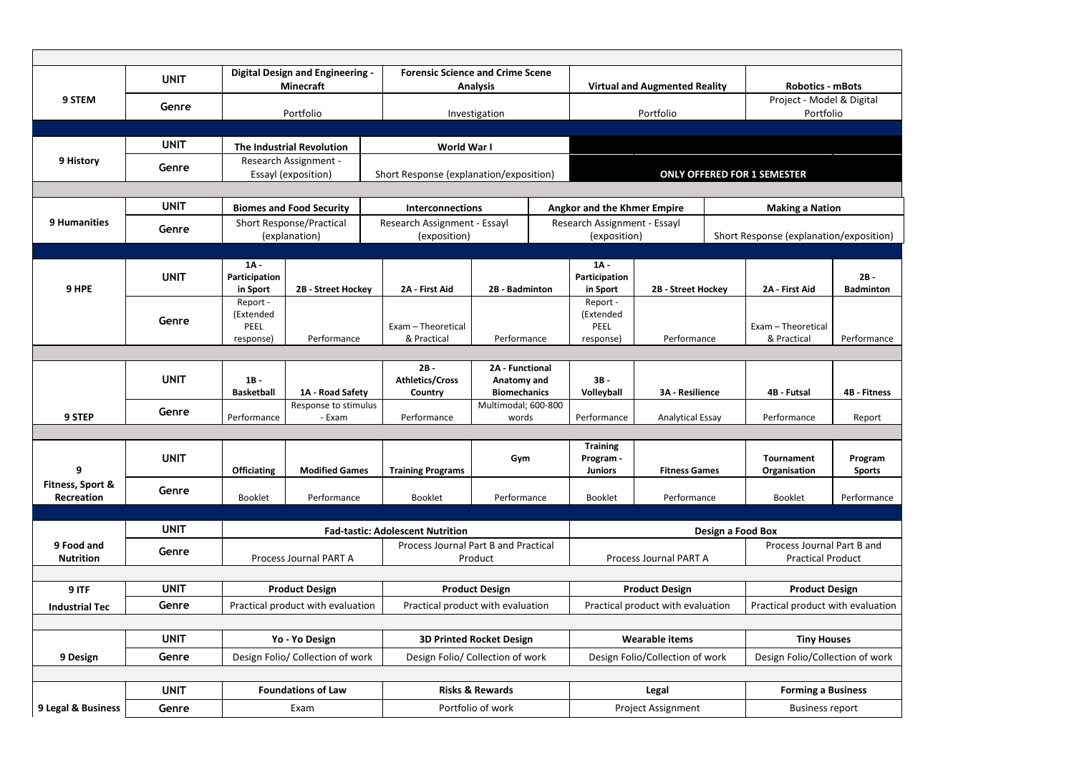| <b>Digital Design and Engineering -</b><br><b>Forensic Science and Crime Scene</b><br><b>UNIT</b><br><b>Virtual and Augmented Reality</b><br><b>Minecraft</b><br><b>Analysis</b><br><b>Robotics - mBots</b><br>9 STEM<br>Project - Model & Digital<br>Genre<br>Portfolio<br>Portfolio<br>Portfolio<br>Investigation<br><b>UNIT</b><br><b>The Industrial Revolution</b><br>World War I<br>9 History<br>Research Assignment -<br>Genre<br>Essayl (exposition)<br>Short Response (explanation/exposition)<br><b>ONLY OFFERED FOR 1 SEMESTER</b><br><b>UNIT</b><br><b>Biomes and Food Security</b><br><b>Angkor and the Khmer Empire</b><br><b>Interconnections</b><br><b>Making a Nation</b><br><b>9 Humanities</b><br><b>Short Response/Practical</b><br>Research Assignment - Essayl<br>Research Assignment - Essayl<br>Genre<br>Short Response (explanation/exposition)<br>(explanation)<br>(exposition)<br>(exposition)<br>$1A -$<br>$1A -$<br><b>UNIT</b><br>$2B -$<br>Participation<br>Participation<br>9 HPE<br>2B - Street Hockey<br>2A - First Aid<br>2B - Badminton<br>2A - First Aid<br><b>Badminton</b><br>2B - Street Hockey<br>in Sport<br>in Sport<br>Report -<br>Report -<br>(Extended<br>(Extended<br>Genre<br>Exam - Theoretical<br>PEEL<br>Exam - Theoretical<br>PEEL<br>Performance<br>& Practical<br>Performance<br>Performance<br>& Practical<br>Performance<br>response)<br>response)<br>$2B -$<br>2A - Functional<br><b>UNIT</b><br><b>Athletics/Cross</b><br>Anatomy and<br>$3B -$<br>$1B -$<br><b>Biomechanics</b><br><b>Basketball</b><br>Volleyball<br>4B - Fitness<br>1A - Road Safety<br><b>3A - Resilience</b><br>4B - Futsal<br>Country<br>Multimodal; 600-800<br>Response to stimulus<br>Genre<br>9 STEP<br>Performance<br>- Exam<br>Performance<br>Performance<br>Performance<br><b>Analytical Essay</b><br>words<br>Report<br><b>Training</b><br><b>UNIT</b><br>Gym<br>Program -<br><b>Tournament</b><br>Program<br>9<br><b>Officiating</b><br><b>Modified Games</b><br><b>Fitness Games</b><br><b>Training Programs</b><br><b>Juniors</b><br>Organisation<br><b>Sports</b><br>Fitness, Sport &<br>Genre<br><b>Recreation</b><br>Booklet<br>Performance<br>Booklet<br>Performance<br>Booklet<br><b>Booklet</b><br>Performance<br>Performance<br><b>UNIT</b><br><b>Fad-tastic: Adolescent Nutrition</b><br>Design a Food Box<br>Process Journal Part B and Practical<br>Process Journal Part B and<br>9 Food and<br>Genre<br>Process Journal PART A<br>Product<br>Process Journal PART A<br><b>Practical Product</b><br><b>Nutrition</b><br><b>UNIT</b><br><b>Product Design</b><br><b>Product Design</b><br><b>Product Design</b><br>9 ITF<br><b>Product Design</b><br>Genre<br>Practical product with evaluation<br>Practical product with evaluation<br>Practical product with evaluation<br>Practical product with evaluation<br><b>Industrial Tec</b><br><b>UNIT</b><br><b>Wearable items</b><br>Yo - Yo Design<br><b>3D Printed Rocket Design</b><br><b>Tiny Houses</b><br>Genre<br>Design Folio/Collection of work<br>9 Design<br>Design Folio/ Collection of work<br>Design Folio/ Collection of work<br>Design Folio/Collection of work<br><b>UNIT</b><br><b>Foundations of Law</b><br><b>Risks &amp; Rewards</b><br>Legal<br><b>Forming a Business</b><br>Genre<br>Exam<br>Portfolio of work<br>Project Assignment<br><b>Business report</b> |                    |  |  |  |  |  |  |  |  |  |  |  |  |
|---------------------------------------------------------------------------------------------------------------------------------------------------------------------------------------------------------------------------------------------------------------------------------------------------------------------------------------------------------------------------------------------------------------------------------------------------------------------------------------------------------------------------------------------------------------------------------------------------------------------------------------------------------------------------------------------------------------------------------------------------------------------------------------------------------------------------------------------------------------------------------------------------------------------------------------------------------------------------------------------------------------------------------------------------------------------------------------------------------------------------------------------------------------------------------------------------------------------------------------------------------------------------------------------------------------------------------------------------------------------------------------------------------------------------------------------------------------------------------------------------------------------------------------------------------------------------------------------------------------------------------------------------------------------------------------------------------------------------------------------------------------------------------------------------------------------------------------------------------------------------------------------------------------------------------------------------------------------------------------------------------------------------------------------------------------------------------------------------------------------------------------------------------------------------------------------------------------------------------------------------------------------------------------------------------------------------------------------------------------------------------------------------------------------------------------------------------------------------------------------------------------------------------------------------------------------------------------------------------------------------------------------------------------------------------------------------------------------------------------------------------------------------------------------------------------------------------------------------------------------------------------------------------------------------------------------------------------------------------------------------------------------------------------------------------------------------------------------------------------------------------------------------------------------------------------------------------------------------------------------------------------------------------------------------------------------------------------------------------------------------------------|--------------------|--|--|--|--|--|--|--|--|--|--|--|--|
|                                                                                                                                                                                                                                                                                                                                                                                                                                                                                                                                                                                                                                                                                                                                                                                                                                                                                                                                                                                                                                                                                                                                                                                                                                                                                                                                                                                                                                                                                                                                                                                                                                                                                                                                                                                                                                                                                                                                                                                                                                                                                                                                                                                                                                                                                                                                                                                                                                                                                                                                                                                                                                                                                                                                                                                                                                                                                                                                                                                                                                                                                                                                                                                                                                                                                                                                                                                       |                    |  |  |  |  |  |  |  |  |  |  |  |  |
|                                                                                                                                                                                                                                                                                                                                                                                                                                                                                                                                                                                                                                                                                                                                                                                                                                                                                                                                                                                                                                                                                                                                                                                                                                                                                                                                                                                                                                                                                                                                                                                                                                                                                                                                                                                                                                                                                                                                                                                                                                                                                                                                                                                                                                                                                                                                                                                                                                                                                                                                                                                                                                                                                                                                                                                                                                                                                                                                                                                                                                                                                                                                                                                                                                                                                                                                                                                       |                    |  |  |  |  |  |  |  |  |  |  |  |  |
|                                                                                                                                                                                                                                                                                                                                                                                                                                                                                                                                                                                                                                                                                                                                                                                                                                                                                                                                                                                                                                                                                                                                                                                                                                                                                                                                                                                                                                                                                                                                                                                                                                                                                                                                                                                                                                                                                                                                                                                                                                                                                                                                                                                                                                                                                                                                                                                                                                                                                                                                                                                                                                                                                                                                                                                                                                                                                                                                                                                                                                                                                                                                                                                                                                                                                                                                                                                       |                    |  |  |  |  |  |  |  |  |  |  |  |  |
|                                                                                                                                                                                                                                                                                                                                                                                                                                                                                                                                                                                                                                                                                                                                                                                                                                                                                                                                                                                                                                                                                                                                                                                                                                                                                                                                                                                                                                                                                                                                                                                                                                                                                                                                                                                                                                                                                                                                                                                                                                                                                                                                                                                                                                                                                                                                                                                                                                                                                                                                                                                                                                                                                                                                                                                                                                                                                                                                                                                                                                                                                                                                                                                                                                                                                                                                                                                       |                    |  |  |  |  |  |  |  |  |  |  |  |  |
|                                                                                                                                                                                                                                                                                                                                                                                                                                                                                                                                                                                                                                                                                                                                                                                                                                                                                                                                                                                                                                                                                                                                                                                                                                                                                                                                                                                                                                                                                                                                                                                                                                                                                                                                                                                                                                                                                                                                                                                                                                                                                                                                                                                                                                                                                                                                                                                                                                                                                                                                                                                                                                                                                                                                                                                                                                                                                                                                                                                                                                                                                                                                                                                                                                                                                                                                                                                       |                    |  |  |  |  |  |  |  |  |  |  |  |  |
|                                                                                                                                                                                                                                                                                                                                                                                                                                                                                                                                                                                                                                                                                                                                                                                                                                                                                                                                                                                                                                                                                                                                                                                                                                                                                                                                                                                                                                                                                                                                                                                                                                                                                                                                                                                                                                                                                                                                                                                                                                                                                                                                                                                                                                                                                                                                                                                                                                                                                                                                                                                                                                                                                                                                                                                                                                                                                                                                                                                                                                                                                                                                                                                                                                                                                                                                                                                       |                    |  |  |  |  |  |  |  |  |  |  |  |  |
|                                                                                                                                                                                                                                                                                                                                                                                                                                                                                                                                                                                                                                                                                                                                                                                                                                                                                                                                                                                                                                                                                                                                                                                                                                                                                                                                                                                                                                                                                                                                                                                                                                                                                                                                                                                                                                                                                                                                                                                                                                                                                                                                                                                                                                                                                                                                                                                                                                                                                                                                                                                                                                                                                                                                                                                                                                                                                                                                                                                                                                                                                                                                                                                                                                                                                                                                                                                       |                    |  |  |  |  |  |  |  |  |  |  |  |  |
|                                                                                                                                                                                                                                                                                                                                                                                                                                                                                                                                                                                                                                                                                                                                                                                                                                                                                                                                                                                                                                                                                                                                                                                                                                                                                                                                                                                                                                                                                                                                                                                                                                                                                                                                                                                                                                                                                                                                                                                                                                                                                                                                                                                                                                                                                                                                                                                                                                                                                                                                                                                                                                                                                                                                                                                                                                                                                                                                                                                                                                                                                                                                                                                                                                                                                                                                                                                       |                    |  |  |  |  |  |  |  |  |  |  |  |  |
|                                                                                                                                                                                                                                                                                                                                                                                                                                                                                                                                                                                                                                                                                                                                                                                                                                                                                                                                                                                                                                                                                                                                                                                                                                                                                                                                                                                                                                                                                                                                                                                                                                                                                                                                                                                                                                                                                                                                                                                                                                                                                                                                                                                                                                                                                                                                                                                                                                                                                                                                                                                                                                                                                                                                                                                                                                                                                                                                                                                                                                                                                                                                                                                                                                                                                                                                                                                       |                    |  |  |  |  |  |  |  |  |  |  |  |  |
|                                                                                                                                                                                                                                                                                                                                                                                                                                                                                                                                                                                                                                                                                                                                                                                                                                                                                                                                                                                                                                                                                                                                                                                                                                                                                                                                                                                                                                                                                                                                                                                                                                                                                                                                                                                                                                                                                                                                                                                                                                                                                                                                                                                                                                                                                                                                                                                                                                                                                                                                                                                                                                                                                                                                                                                                                                                                                                                                                                                                                                                                                                                                                                                                                                                                                                                                                                                       |                    |  |  |  |  |  |  |  |  |  |  |  |  |
|                                                                                                                                                                                                                                                                                                                                                                                                                                                                                                                                                                                                                                                                                                                                                                                                                                                                                                                                                                                                                                                                                                                                                                                                                                                                                                                                                                                                                                                                                                                                                                                                                                                                                                                                                                                                                                                                                                                                                                                                                                                                                                                                                                                                                                                                                                                                                                                                                                                                                                                                                                                                                                                                                                                                                                                                                                                                                                                                                                                                                                                                                                                                                                                                                                                                                                                                                                                       |                    |  |  |  |  |  |  |  |  |  |  |  |  |
|                                                                                                                                                                                                                                                                                                                                                                                                                                                                                                                                                                                                                                                                                                                                                                                                                                                                                                                                                                                                                                                                                                                                                                                                                                                                                                                                                                                                                                                                                                                                                                                                                                                                                                                                                                                                                                                                                                                                                                                                                                                                                                                                                                                                                                                                                                                                                                                                                                                                                                                                                                                                                                                                                                                                                                                                                                                                                                                                                                                                                                                                                                                                                                                                                                                                                                                                                                                       |                    |  |  |  |  |  |  |  |  |  |  |  |  |
|                                                                                                                                                                                                                                                                                                                                                                                                                                                                                                                                                                                                                                                                                                                                                                                                                                                                                                                                                                                                                                                                                                                                                                                                                                                                                                                                                                                                                                                                                                                                                                                                                                                                                                                                                                                                                                                                                                                                                                                                                                                                                                                                                                                                                                                                                                                                                                                                                                                                                                                                                                                                                                                                                                                                                                                                                                                                                                                                                                                                                                                                                                                                                                                                                                                                                                                                                                                       |                    |  |  |  |  |  |  |  |  |  |  |  |  |
|                                                                                                                                                                                                                                                                                                                                                                                                                                                                                                                                                                                                                                                                                                                                                                                                                                                                                                                                                                                                                                                                                                                                                                                                                                                                                                                                                                                                                                                                                                                                                                                                                                                                                                                                                                                                                                                                                                                                                                                                                                                                                                                                                                                                                                                                                                                                                                                                                                                                                                                                                                                                                                                                                                                                                                                                                                                                                                                                                                                                                                                                                                                                                                                                                                                                                                                                                                                       |                    |  |  |  |  |  |  |  |  |  |  |  |  |
|                                                                                                                                                                                                                                                                                                                                                                                                                                                                                                                                                                                                                                                                                                                                                                                                                                                                                                                                                                                                                                                                                                                                                                                                                                                                                                                                                                                                                                                                                                                                                                                                                                                                                                                                                                                                                                                                                                                                                                                                                                                                                                                                                                                                                                                                                                                                                                                                                                                                                                                                                                                                                                                                                                                                                                                                                                                                                                                                                                                                                                                                                                                                                                                                                                                                                                                                                                                       |                    |  |  |  |  |  |  |  |  |  |  |  |  |
|                                                                                                                                                                                                                                                                                                                                                                                                                                                                                                                                                                                                                                                                                                                                                                                                                                                                                                                                                                                                                                                                                                                                                                                                                                                                                                                                                                                                                                                                                                                                                                                                                                                                                                                                                                                                                                                                                                                                                                                                                                                                                                                                                                                                                                                                                                                                                                                                                                                                                                                                                                                                                                                                                                                                                                                                                                                                                                                                                                                                                                                                                                                                                                                                                                                                                                                                                                                       |                    |  |  |  |  |  |  |  |  |  |  |  |  |
|                                                                                                                                                                                                                                                                                                                                                                                                                                                                                                                                                                                                                                                                                                                                                                                                                                                                                                                                                                                                                                                                                                                                                                                                                                                                                                                                                                                                                                                                                                                                                                                                                                                                                                                                                                                                                                                                                                                                                                                                                                                                                                                                                                                                                                                                                                                                                                                                                                                                                                                                                                                                                                                                                                                                                                                                                                                                                                                                                                                                                                                                                                                                                                                                                                                                                                                                                                                       |                    |  |  |  |  |  |  |  |  |  |  |  |  |
|                                                                                                                                                                                                                                                                                                                                                                                                                                                                                                                                                                                                                                                                                                                                                                                                                                                                                                                                                                                                                                                                                                                                                                                                                                                                                                                                                                                                                                                                                                                                                                                                                                                                                                                                                                                                                                                                                                                                                                                                                                                                                                                                                                                                                                                                                                                                                                                                                                                                                                                                                                                                                                                                                                                                                                                                                                                                                                                                                                                                                                                                                                                                                                                                                                                                                                                                                                                       |                    |  |  |  |  |  |  |  |  |  |  |  |  |
|                                                                                                                                                                                                                                                                                                                                                                                                                                                                                                                                                                                                                                                                                                                                                                                                                                                                                                                                                                                                                                                                                                                                                                                                                                                                                                                                                                                                                                                                                                                                                                                                                                                                                                                                                                                                                                                                                                                                                                                                                                                                                                                                                                                                                                                                                                                                                                                                                                                                                                                                                                                                                                                                                                                                                                                                                                                                                                                                                                                                                                                                                                                                                                                                                                                                                                                                                                                       |                    |  |  |  |  |  |  |  |  |  |  |  |  |
|                                                                                                                                                                                                                                                                                                                                                                                                                                                                                                                                                                                                                                                                                                                                                                                                                                                                                                                                                                                                                                                                                                                                                                                                                                                                                                                                                                                                                                                                                                                                                                                                                                                                                                                                                                                                                                                                                                                                                                                                                                                                                                                                                                                                                                                                                                                                                                                                                                                                                                                                                                                                                                                                                                                                                                                                                                                                                                                                                                                                                                                                                                                                                                                                                                                                                                                                                                                       |                    |  |  |  |  |  |  |  |  |  |  |  |  |
|                                                                                                                                                                                                                                                                                                                                                                                                                                                                                                                                                                                                                                                                                                                                                                                                                                                                                                                                                                                                                                                                                                                                                                                                                                                                                                                                                                                                                                                                                                                                                                                                                                                                                                                                                                                                                                                                                                                                                                                                                                                                                                                                                                                                                                                                                                                                                                                                                                                                                                                                                                                                                                                                                                                                                                                                                                                                                                                                                                                                                                                                                                                                                                                                                                                                                                                                                                                       |                    |  |  |  |  |  |  |  |  |  |  |  |  |
|                                                                                                                                                                                                                                                                                                                                                                                                                                                                                                                                                                                                                                                                                                                                                                                                                                                                                                                                                                                                                                                                                                                                                                                                                                                                                                                                                                                                                                                                                                                                                                                                                                                                                                                                                                                                                                                                                                                                                                                                                                                                                                                                                                                                                                                                                                                                                                                                                                                                                                                                                                                                                                                                                                                                                                                                                                                                                                                                                                                                                                                                                                                                                                                                                                                                                                                                                                                       |                    |  |  |  |  |  |  |  |  |  |  |  |  |
|                                                                                                                                                                                                                                                                                                                                                                                                                                                                                                                                                                                                                                                                                                                                                                                                                                                                                                                                                                                                                                                                                                                                                                                                                                                                                                                                                                                                                                                                                                                                                                                                                                                                                                                                                                                                                                                                                                                                                                                                                                                                                                                                                                                                                                                                                                                                                                                                                                                                                                                                                                                                                                                                                                                                                                                                                                                                                                                                                                                                                                                                                                                                                                                                                                                                                                                                                                                       |                    |  |  |  |  |  |  |  |  |  |  |  |  |
|                                                                                                                                                                                                                                                                                                                                                                                                                                                                                                                                                                                                                                                                                                                                                                                                                                                                                                                                                                                                                                                                                                                                                                                                                                                                                                                                                                                                                                                                                                                                                                                                                                                                                                                                                                                                                                                                                                                                                                                                                                                                                                                                                                                                                                                                                                                                                                                                                                                                                                                                                                                                                                                                                                                                                                                                                                                                                                                                                                                                                                                                                                                                                                                                                                                                                                                                                                                       |                    |  |  |  |  |  |  |  |  |  |  |  |  |
|                                                                                                                                                                                                                                                                                                                                                                                                                                                                                                                                                                                                                                                                                                                                                                                                                                                                                                                                                                                                                                                                                                                                                                                                                                                                                                                                                                                                                                                                                                                                                                                                                                                                                                                                                                                                                                                                                                                                                                                                                                                                                                                                                                                                                                                                                                                                                                                                                                                                                                                                                                                                                                                                                                                                                                                                                                                                                                                                                                                                                                                                                                                                                                                                                                                                                                                                                                                       |                    |  |  |  |  |  |  |  |  |  |  |  |  |
|                                                                                                                                                                                                                                                                                                                                                                                                                                                                                                                                                                                                                                                                                                                                                                                                                                                                                                                                                                                                                                                                                                                                                                                                                                                                                                                                                                                                                                                                                                                                                                                                                                                                                                                                                                                                                                                                                                                                                                                                                                                                                                                                                                                                                                                                                                                                                                                                                                                                                                                                                                                                                                                                                                                                                                                                                                                                                                                                                                                                                                                                                                                                                                                                                                                                                                                                                                                       |                    |  |  |  |  |  |  |  |  |  |  |  |  |
|                                                                                                                                                                                                                                                                                                                                                                                                                                                                                                                                                                                                                                                                                                                                                                                                                                                                                                                                                                                                                                                                                                                                                                                                                                                                                                                                                                                                                                                                                                                                                                                                                                                                                                                                                                                                                                                                                                                                                                                                                                                                                                                                                                                                                                                                                                                                                                                                                                                                                                                                                                                                                                                                                                                                                                                                                                                                                                                                                                                                                                                                                                                                                                                                                                                                                                                                                                                       |                    |  |  |  |  |  |  |  |  |  |  |  |  |
|                                                                                                                                                                                                                                                                                                                                                                                                                                                                                                                                                                                                                                                                                                                                                                                                                                                                                                                                                                                                                                                                                                                                                                                                                                                                                                                                                                                                                                                                                                                                                                                                                                                                                                                                                                                                                                                                                                                                                                                                                                                                                                                                                                                                                                                                                                                                                                                                                                                                                                                                                                                                                                                                                                                                                                                                                                                                                                                                                                                                                                                                                                                                                                                                                                                                                                                                                                                       |                    |  |  |  |  |  |  |  |  |  |  |  |  |
|                                                                                                                                                                                                                                                                                                                                                                                                                                                                                                                                                                                                                                                                                                                                                                                                                                                                                                                                                                                                                                                                                                                                                                                                                                                                                                                                                                                                                                                                                                                                                                                                                                                                                                                                                                                                                                                                                                                                                                                                                                                                                                                                                                                                                                                                                                                                                                                                                                                                                                                                                                                                                                                                                                                                                                                                                                                                                                                                                                                                                                                                                                                                                                                                                                                                                                                                                                                       |                    |  |  |  |  |  |  |  |  |  |  |  |  |
|                                                                                                                                                                                                                                                                                                                                                                                                                                                                                                                                                                                                                                                                                                                                                                                                                                                                                                                                                                                                                                                                                                                                                                                                                                                                                                                                                                                                                                                                                                                                                                                                                                                                                                                                                                                                                                                                                                                                                                                                                                                                                                                                                                                                                                                                                                                                                                                                                                                                                                                                                                                                                                                                                                                                                                                                                                                                                                                                                                                                                                                                                                                                                                                                                                                                                                                                                                                       |                    |  |  |  |  |  |  |  |  |  |  |  |  |
|                                                                                                                                                                                                                                                                                                                                                                                                                                                                                                                                                                                                                                                                                                                                                                                                                                                                                                                                                                                                                                                                                                                                                                                                                                                                                                                                                                                                                                                                                                                                                                                                                                                                                                                                                                                                                                                                                                                                                                                                                                                                                                                                                                                                                                                                                                                                                                                                                                                                                                                                                                                                                                                                                                                                                                                                                                                                                                                                                                                                                                                                                                                                                                                                                                                                                                                                                                                       |                    |  |  |  |  |  |  |  |  |  |  |  |  |
|                                                                                                                                                                                                                                                                                                                                                                                                                                                                                                                                                                                                                                                                                                                                                                                                                                                                                                                                                                                                                                                                                                                                                                                                                                                                                                                                                                                                                                                                                                                                                                                                                                                                                                                                                                                                                                                                                                                                                                                                                                                                                                                                                                                                                                                                                                                                                                                                                                                                                                                                                                                                                                                                                                                                                                                                                                                                                                                                                                                                                                                                                                                                                                                                                                                                                                                                                                                       |                    |  |  |  |  |  |  |  |  |  |  |  |  |
|                                                                                                                                                                                                                                                                                                                                                                                                                                                                                                                                                                                                                                                                                                                                                                                                                                                                                                                                                                                                                                                                                                                                                                                                                                                                                                                                                                                                                                                                                                                                                                                                                                                                                                                                                                                                                                                                                                                                                                                                                                                                                                                                                                                                                                                                                                                                                                                                                                                                                                                                                                                                                                                                                                                                                                                                                                                                                                                                                                                                                                                                                                                                                                                                                                                                                                                                                                                       |                    |  |  |  |  |  |  |  |  |  |  |  |  |
|                                                                                                                                                                                                                                                                                                                                                                                                                                                                                                                                                                                                                                                                                                                                                                                                                                                                                                                                                                                                                                                                                                                                                                                                                                                                                                                                                                                                                                                                                                                                                                                                                                                                                                                                                                                                                                                                                                                                                                                                                                                                                                                                                                                                                                                                                                                                                                                                                                                                                                                                                                                                                                                                                                                                                                                                                                                                                                                                                                                                                                                                                                                                                                                                                                                                                                                                                                                       |                    |  |  |  |  |  |  |  |  |  |  |  |  |
|                                                                                                                                                                                                                                                                                                                                                                                                                                                                                                                                                                                                                                                                                                                                                                                                                                                                                                                                                                                                                                                                                                                                                                                                                                                                                                                                                                                                                                                                                                                                                                                                                                                                                                                                                                                                                                                                                                                                                                                                                                                                                                                                                                                                                                                                                                                                                                                                                                                                                                                                                                                                                                                                                                                                                                                                                                                                                                                                                                                                                                                                                                                                                                                                                                                                                                                                                                                       |                    |  |  |  |  |  |  |  |  |  |  |  |  |
|                                                                                                                                                                                                                                                                                                                                                                                                                                                                                                                                                                                                                                                                                                                                                                                                                                                                                                                                                                                                                                                                                                                                                                                                                                                                                                                                                                                                                                                                                                                                                                                                                                                                                                                                                                                                                                                                                                                                                                                                                                                                                                                                                                                                                                                                                                                                                                                                                                                                                                                                                                                                                                                                                                                                                                                                                                                                                                                                                                                                                                                                                                                                                                                                                                                                                                                                                                                       | 9 Legal & Business |  |  |  |  |  |  |  |  |  |  |  |  |